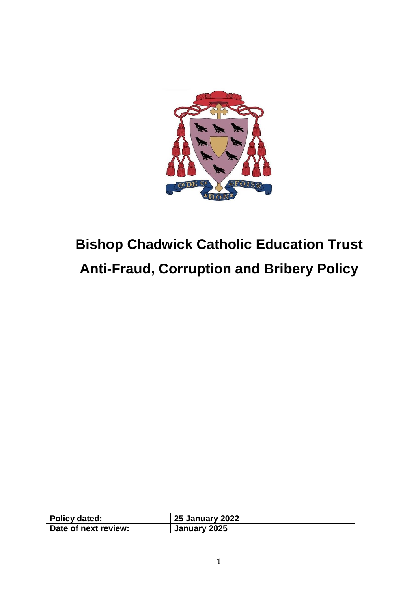

# **Bishop Chadwick Catholic Education Trust Anti-Fraud, Corruption and Bribery Policy**

| Policy dated:        | <b>25 January 2022</b> |
|----------------------|------------------------|
| Date of next review: | January 2025           |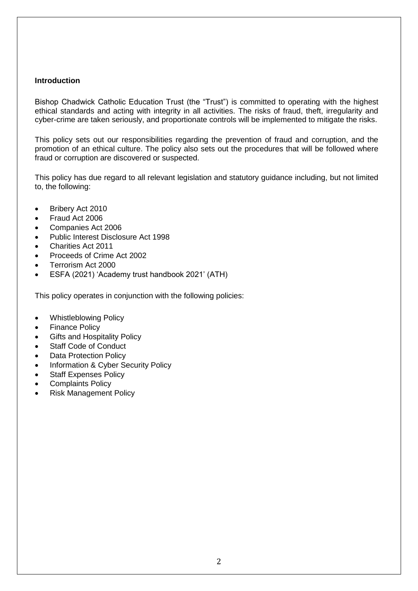## **Introduction**

Bishop Chadwick Catholic Education Trust (the "Trust") is committed to operating with the highest ethical standards and acting with integrity in all activities. The risks of fraud, theft, irregularity and cyber-crime are taken seriously, and proportionate controls will be implemented to mitigate the risks.

This policy sets out our responsibilities regarding the prevention of fraud and corruption, and the promotion of an ethical culture. The policy also sets out the procedures that will be followed where fraud or corruption are discovered or suspected.

This policy has due regard to all relevant legislation and statutory guidance including, but not limited to, the following:

- Bribery Act 2010
- Fraud Act 2006
- Companies Act 2006
- Public Interest Disclosure Act 1998
- Charities Act 2011
- Proceeds of Crime Act 2002
- Terrorism Act 2000
- ESFA (2021) 'Academy trust handbook 2021' (ATH)

This policy operates in conjunction with the following policies:

- Whistleblowing Policy
- **Finance Policy**
- **Gifts and Hospitality Policy**
- Staff Code of Conduct
- **Data Protection Policy**
- Information & Cyber Security Policy
- **Staff Expenses Policy**
- Complaints Policy
- Risk Management Policy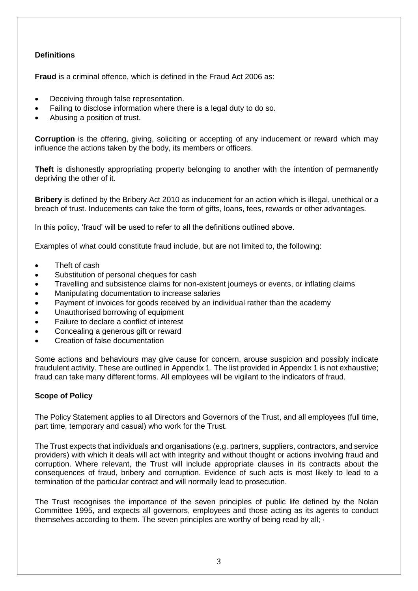# **Definitions**

**Fraud** is a criminal offence, which is defined in the Fraud Act 2006 as:

- Deceiving through false representation.
- Failing to disclose information where there is a legal duty to do so.
- Abusing a position of trust.

**Corruption** is the offering, giving, soliciting or accepting of any inducement or reward which may influence the actions taken by the body, its members or officers.

**Theft** is dishonestly appropriating property belonging to another with the intention of permanently depriving the other of it.

**Bribery** is defined by the Bribery Act 2010 as inducement for an action which is illegal, unethical or a breach of trust. Inducements can take the form of gifts, loans, fees, rewards or other advantages.

In this policy, 'fraud' will be used to refer to all the definitions outlined above.

Examples of what could constitute fraud include, but are not limited to, the following:

- Theft of cash
- Substitution of personal cheques for cash
- Travelling and subsistence claims for non-existent journeys or events, or inflating claims
- Manipulating documentation to increase salaries
- Payment of invoices for goods received by an individual rather than the academy
- Unauthorised borrowing of equipment
- Failure to declare a conflict of interest
- Concealing a generous gift or reward
- Creation of false documentation

Some actions and behaviours may give cause for concern, arouse suspicion and possibly indicate fraudulent activity. These are outlined in Appendix 1. The list provided in Appendix 1 is not exhaustive; fraud can take many different forms. All employees will be vigilant to the indicators of fraud.

# **Scope of Policy**

The Policy Statement applies to all Directors and Governors of the Trust, and all employees (full time, part time, temporary and casual) who work for the Trust.

The Trust expects that individuals and organisations (e.g. partners, suppliers, contractors, and service providers) with which it deals will act with integrity and without thought or actions involving fraud and corruption. Where relevant, the Trust will include appropriate clauses in its contracts about the consequences of fraud, bribery and corruption. Evidence of such acts is most likely to lead to a termination of the particular contract and will normally lead to prosecution.

The Trust recognises the importance of the seven principles of public life defined by the Nolan Committee 1995, and expects all governors, employees and those acting as its agents to conduct themselves according to them. The seven principles are worthy of being read by all;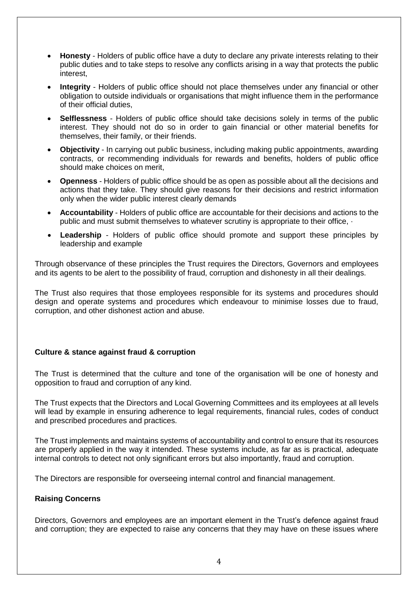- **Honesty** Holders of public office have a duty to declare any private interests relating to their public duties and to take steps to resolve any conflicts arising in a way that protects the public interest,
- **Integrity** Holders of public office should not place themselves under any financial or other obligation to outside individuals or organisations that might influence them in the performance of their official duties,
- **Selflessness** Holders of public office should take decisions solely in terms of the public interest. They should not do so in order to gain financial or other material benefits for themselves, their family, or their friends.
- **Objectivity** In carrying out public business, including making public appointments, awarding contracts, or recommending individuals for rewards and benefits, holders of public office should make choices on merit,
- **Openness** Holders of public office should be as open as possible about all the decisions and actions that they take. They should give reasons for their decisions and restrict information only when the wider public interest clearly demands
- **Accountability** Holders of public office are accountable for their decisions and actions to the public and must submit themselves to whatever scrutiny is appropriate to their office, ·
- **Leadership** Holders of public office should promote and support these principles by leadership and example

Through observance of these principles the Trust requires the Directors, Governors and employees and its agents to be alert to the possibility of fraud, corruption and dishonesty in all their dealings.

The Trust also requires that those employees responsible for its systems and procedures should design and operate systems and procedures which endeavour to minimise losses due to fraud, corruption, and other dishonest action and abuse.

# **Culture & stance against fraud & corruption**

The Trust is determined that the culture and tone of the organisation will be one of honesty and opposition to fraud and corruption of any kind.

The Trust expects that the Directors and Local Governing Committees and its employees at all levels will lead by example in ensuring adherence to legal requirements, financial rules, codes of conduct and prescribed procedures and practices.

The Trust implements and maintains systems of accountability and control to ensure that its resources are properly applied in the way it intended. These systems include, as far as is practical, adequate internal controls to detect not only significant errors but also importantly, fraud and corruption.

The Directors are responsible for overseeing internal control and financial management.

# **Raising Concerns**

Directors, Governors and employees are an important element in the Trust's defence against fraud and corruption; they are expected to raise any concerns that they may have on these issues where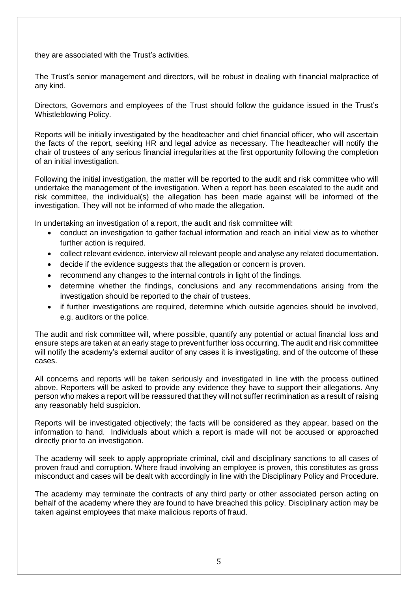they are associated with the Trust's activities.

The Trust's senior management and directors, will be robust in dealing with financial malpractice of any kind.

Directors, Governors and employees of the Trust should follow the guidance issued in the Trust's Whistleblowing Policy.

Reports will be initially investigated by the headteacher and chief financial officer, who will ascertain the facts of the report, seeking HR and legal advice as necessary. The headteacher will notify the chair of trustees of any serious financial irregularities at the first opportunity following the completion of an initial investigation.

Following the initial investigation, the matter will be reported to the audit and risk committee who will undertake the management of the investigation. When a report has been escalated to the audit and risk committee, the individual(s) the allegation has been made against will be informed of the investigation. They will not be informed of who made the allegation.

In undertaking an investigation of a report, the audit and risk committee will:

- conduct an investigation to gather factual information and reach an initial view as to whether further action is required.
- collect relevant evidence, interview all relevant people and analyse any related documentation.
- decide if the evidence suggests that the allegation or concern is proven.
- recommend any changes to the internal controls in light of the findings.
- determine whether the findings, conclusions and any recommendations arising from the investigation should be reported to the chair of trustees.
- if further investigations are required, determine which outside agencies should be involved, e.g. auditors or the police.

The audit and risk committee will, where possible, quantify any potential or actual financial loss and ensure steps are taken at an early stage to prevent further loss occurring. The audit and risk committee will notify the academy's external auditor of any cases it is investigating, and of the outcome of these cases.

All concerns and reports will be taken seriously and investigated in line with the process outlined above. Reporters will be asked to provide any evidence they have to support their allegations. Any person who makes a report will be reassured that they will not suffer recrimination as a result of raising any reasonably held suspicion.

Reports will be investigated objectively; the facts will be considered as they appear, based on the information to hand. Individuals about which a report is made will not be accused or approached directly prior to an investigation.

The academy will seek to apply appropriate criminal, civil and disciplinary sanctions to all cases of proven fraud and corruption. Where fraud involving an employee is proven, this constitutes as gross misconduct and cases will be dealt with accordingly in line with the Disciplinary Policy and Procedure.

The academy may terminate the contracts of any third party or other associated person acting on behalf of the academy where they are found to have breached this policy. Disciplinary action may be taken against employees that make malicious reports of fraud.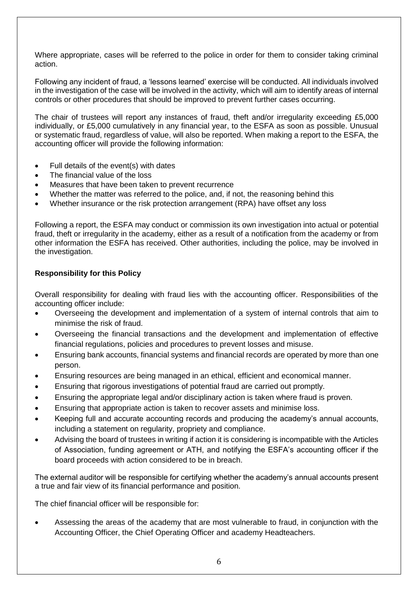Where appropriate, cases will be referred to the police in order for them to consider taking criminal action.

Following any incident of fraud, a 'lessons learned' exercise will be conducted. All individuals involved in the investigation of the case will be involved in the activity, which will aim to identify areas of internal controls or other procedures that should be improved to prevent further cases occurring.

The chair of trustees will report any instances of fraud, theft and/or irregularity exceeding £5,000 individually, or £5,000 cumulatively in any financial year, to the ESFA as soon as possible. Unusual or systematic fraud, regardless of value, will also be reported. When making a report to the ESFA, the accounting officer will provide the following information:

- Full details of the event(s) with dates
- The financial value of the loss
- Measures that have been taken to prevent recurrence
- Whether the matter was referred to the police, and, if not, the reasoning behind this
- Whether insurance or the risk protection arrangement (RPA) have offset any loss

Following a report, the ESFA may conduct or commission its own investigation into actual or potential fraud, theft or irregularity in the academy, either as a result of a notification from the academy or from other information the ESFA has received. Other authorities, including the police, may be involved in the investigation.

# **Responsibility for this Policy**

Overall responsibility for dealing with fraud lies with the accounting officer. Responsibilities of the accounting officer include:

- Overseeing the development and implementation of a system of internal controls that aim to minimise the risk of fraud.
- Overseeing the financial transactions and the development and implementation of effective financial regulations, policies and procedures to prevent losses and misuse.
- Ensuring bank accounts, financial systems and financial records are operated by more than one person.
- Ensuring resources are being managed in an ethical, efficient and economical manner.
- Ensuring that rigorous investigations of potential fraud are carried out promptly.
- Ensuring the appropriate legal and/or disciplinary action is taken where fraud is proven.
- Ensuring that appropriate action is taken to recover assets and minimise loss.
- Keeping full and accurate accounting records and producing the academy's annual accounts, including a statement on regularity, propriety and compliance.
- Advising the board of trustees in writing if action it is considering is incompatible with the Articles of Association, funding agreement or ATH, and notifying the ESFA's accounting officer if the board proceeds with action considered to be in breach.

The external auditor will be responsible for certifying whether the academy's annual accounts present a true and fair view of its financial performance and position.

The chief financial officer will be responsible for:

• Assessing the areas of the academy that are most vulnerable to fraud, in conjunction with the Accounting Officer, the Chief Operating Officer and academy Headteachers.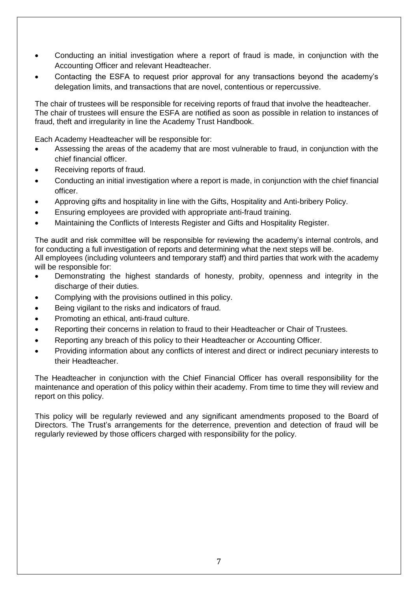- Conducting an initial investigation where a report of fraud is made, in conjunction with the Accounting Officer and relevant Headteacher.
- Contacting the ESFA to request prior approval for any transactions beyond the academy's delegation limits, and transactions that are novel, contentious or repercussive.

The chair of trustees will be responsible for receiving reports of fraud that involve the headteacher. The chair of trustees will ensure the ESFA are notified as soon as possible in relation to instances of fraud, theft and irregularity in line the Academy Trust Handbook.

Each Academy Headteacher will be responsible for:

- Assessing the areas of the academy that are most vulnerable to fraud, in conjunction with the chief financial officer.
- Receiving reports of fraud.
- Conducting an initial investigation where a report is made, in conjunction with the chief financial officer.
- Approving gifts and hospitality in line with the Gifts, Hospitality and Anti-bribery Policy.
- Ensuring employees are provided with appropriate anti-fraud training.
- Maintaining the Conflicts of Interests Register and Gifts and Hospitality Register.

The audit and risk committee will be responsible for reviewing the academy's internal controls, and for conducting a full investigation of reports and determining what the next steps will be.

All employees (including volunteers and temporary staff) and third parties that work with the academy will be responsible for:

- Demonstrating the highest standards of honesty, probity, openness and integrity in the discharge of their duties.
- Complying with the provisions outlined in this policy.
- Being vigilant to the risks and indicators of fraud.
- Promoting an ethical, anti-fraud culture.
- Reporting their concerns in relation to fraud to their Headteacher or Chair of Trustees.
- Reporting any breach of this policy to their Headteacher or Accounting Officer.
- Providing information about any conflicts of interest and direct or indirect pecuniary interests to their Headteacher.

The Headteacher in conjunction with the Chief Financial Officer has overall responsibility for the maintenance and operation of this policy within their academy. From time to time they will review and report on this policy.

This policy will be regularly reviewed and any significant amendments proposed to the Board of Directors. The Trust's arrangements for the deterrence, prevention and detection of fraud will be regularly reviewed by those officers charged with responsibility for the policy.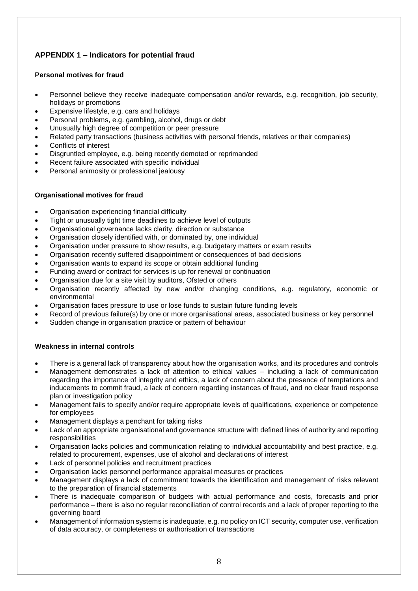# **APPENDIX 1 – Indicators for potential fraud**

## **Personal motives for fraud**

- Personnel believe they receive inadequate compensation and/or rewards, e.g. recognition, job security, holidays or promotions
- Expensive lifestyle, e.g. cars and holidays
- Personal problems, e.g. gambling, alcohol, drugs or debt
- Unusually high degree of competition or peer pressure
- Related party transactions (business activities with personal friends, relatives or their companies)
- Conflicts of interest
- Disgruntled employee, e.g. being recently demoted or reprimanded
- Recent failure associated with specific individual
- Personal animosity or professional jealousy

## **Organisational motives for fraud**

- Organisation experiencing financial difficulty
- Tight or unusually tight time deadlines to achieve level of outputs
- Organisational governance lacks clarity, direction or substance
- Organisation closely identified with, or dominated by, one individual
- Organisation under pressure to show results, e.g. budgetary matters or exam results
- Organisation recently suffered disappointment or consequences of bad decisions
- Organisation wants to expand its scope or obtain additional funding
- Funding award or contract for services is up for renewal or continuation
- Organisation due for a site visit by auditors, Ofsted or others
- Organisation recently affected by new and/or changing conditions, e.g. regulatory, economic or environmental
- Organisation faces pressure to use or lose funds to sustain future funding levels
- Record of previous failure(s) by one or more organisational areas, associated business or key personnel
- Sudden change in organisation practice or pattern of behaviour

# **Weakness in internal controls**

- There is a general lack of transparency about how the organisation works, and its procedures and controls
- Management demonstrates a lack of attention to ethical values including a lack of communication regarding the importance of integrity and ethics, a lack of concern about the presence of temptations and inducements to commit fraud, a lack of concern regarding instances of fraud, and no clear fraud response plan or investigation policy
- Management fails to specify and/or require appropriate levels of qualifications, experience or competence for employees
- Management displays a penchant for taking risks
- Lack of an appropriate organisational and governance structure with defined lines of authority and reporting responsibilities
- Organisation lacks policies and communication relating to individual accountability and best practice, e.g. related to procurement, expenses, use of alcohol and declarations of interest
- Lack of personnel policies and recruitment practices
- Organisation lacks personnel performance appraisal measures or practices
- Management displays a lack of commitment towards the identification and management of risks relevant to the preparation of financial statements
- There is inadequate comparison of budgets with actual performance and costs, forecasts and prior performance – there is also no regular reconciliation of control records and a lack of proper reporting to the governing board
- Management of information systems is inadequate, e.g. no policy on ICT security, computer use, verification of data accuracy, or completeness or authorisation of transactions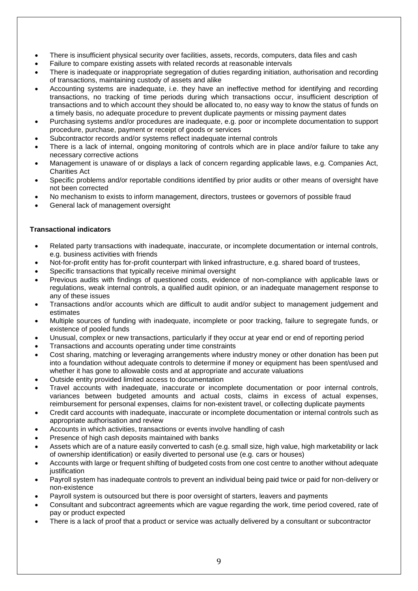- There is insufficient physical security over facilities, assets, records, computers, data files and cash
- Failure to compare existing assets with related records at reasonable intervals
- There is inadequate or inappropriate segregation of duties regarding initiation, authorisation and recording of transactions, maintaining custody of assets and alike
- Accounting systems are inadequate, i.e. they have an ineffective method for identifying and recording transactions, no tracking of time periods during which transactions occur, insufficient description of transactions and to which account they should be allocated to, no easy way to know the status of funds on a timely basis, no adequate procedure to prevent duplicate payments or missing payment dates
- Purchasing systems and/or procedures are inadequate, e.g. poor or incomplete documentation to support procedure, purchase, payment or receipt of goods or services
- Subcontractor records and/or systems reflect inadequate internal controls
- There is a lack of internal, ongoing monitoring of controls which are in place and/or failure to take any necessary corrective actions
- Management is unaware of or displays a lack of concern regarding applicable laws, e.g. Companies Act, Charities Act
- Specific problems and/or reportable conditions identified by prior audits or other means of oversight have not been corrected
- No mechanism to exists to inform management, directors, trustees or governors of possible fraud
- General lack of management oversight

## **Transactional indicators**

- Related party transactions with inadequate, inaccurate, or incomplete documentation or internal controls, e.g. business activities with friends
- Not-for-profit entity has for-profit counterpart with linked infrastructure, e.g. shared board of trustees,
- Specific transactions that typically receive minimal oversight
- Previous audits with findings of questioned costs, evidence of non-compliance with applicable laws or regulations, weak internal controls, a qualified audit opinion, or an inadequate management response to any of these issues
- Transactions and/or accounts which are difficult to audit and/or subject to management judgement and estimates
- Multiple sources of funding with inadequate, incomplete or poor tracking, failure to segregate funds, or existence of pooled funds
- Unusual, complex or new transactions, particularly if they occur at year end or end of reporting period
- Transactions and accounts operating under time constraints
- Cost sharing, matching or leveraging arrangements where industry money or other donation has been put into a foundation without adequate controls to determine if money or equipment has been spent/used and whether it has gone to allowable costs and at appropriate and accurate valuations
- Outside entity provided limited access to documentation
- Travel accounts with inadequate, inaccurate or incomplete documentation or poor internal controls, variances between budgeted amounts and actual costs, claims in excess of actual expenses, reimbursement for personal expenses, claims for non-existent travel, or collecting duplicate payments
- Credit card accounts with inadequate, inaccurate or incomplete documentation or internal controls such as appropriate authorisation and review
- Accounts in which activities, transactions or events involve handling of cash
- Presence of high cash deposits maintained with banks
- Assets which are of a nature easily converted to cash (e.g. small size, high value, high marketability or lack of ownership identification) or easily diverted to personal use (e.g. cars or houses)
- Accounts with large or frequent shifting of budgeted costs from one cost centre to another without adequate justification
- Payroll system has inadequate controls to prevent an individual being paid twice or paid for non-delivery or non-existence
- Payroll system is outsourced but there is poor oversight of starters, leavers and payments
- Consultant and subcontract agreements which are vague regarding the work, time period covered, rate of pay or product expected
- There is a lack of proof that a product or service was actually delivered by a consultant or subcontractor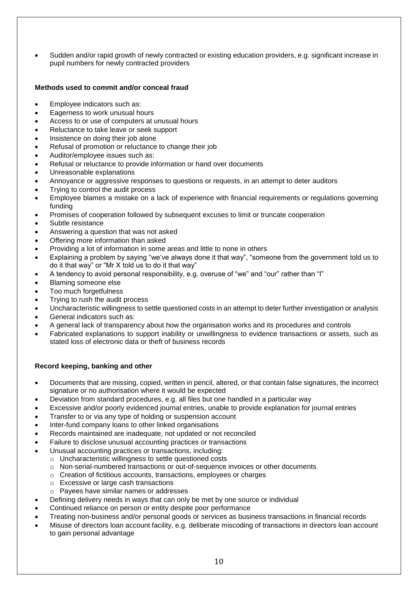• Sudden and/or rapid growth of newly contracted or existing education providers, e.g. significant increase in pupil numbers for newly contracted providers

#### **Methods used to commit and/or conceal fraud**

- Employee indicators such as:
- Eagerness to work unusual hours
- Access to or use of computers at unusual hours
- Reluctance to take leave or seek support
- Insistence on doing their job alone
- Refusal of promotion or reluctance to change their job
- Auditor/employee issues such as:
- Refusal or reluctance to provide information or hand over documents
- Unreasonable explanations
- Annoyance or aggressive responses to questions or requests, in an attempt to deter auditors
- Trying to control the audit process
- Employee blames a mistake on a lack of experience with financial requirements or regulations governing funding
- Promises of cooperation followed by subsequent excuses to limit or truncate cooperation
- Subtle resistance
- Answering a question that was not asked
- Offering more information than asked
- Providing a lot of information in some areas and little to none in others
- Explaining a problem by saying "we've always done it that way", "someone from the government told us to do it that way" or "Mr X told us to do it that way"
- A tendency to avoid personal responsibility, e.g. overuse of "we" and "our" rather than "I"
- Blaming someone else
- Too much forgetfulness
- Trying to rush the audit process
- Uncharacteristic willingness to settle questioned costs in an attempt to deter further investigation or analysis
- General indicators such as:
- A general lack of transparency about how the organisation works and its procedures and controls
- Fabricated explanations to support inability or unwillingness to evidence transactions or assets, such as stated loss of electronic data or theft of business records

# **Record keeping, banking and other**

- Documents that are missing, copied, written in pencil, altered, or that contain false signatures, the incorrect signature or no authorisation where it would be expected
- Deviation from standard procedures, e.g. all files but one handled in a particular way
- Excessive and/or poorly evidenced journal entries, unable to provide explanation for journal entries
- Transfer to or via any type of holding or suspension account
- Inter-fund company loans to other linked organisations
- Records maintained are inadequate, not updated or not reconciled
- Failure to disclose unusual accounting practices or transactions
- Unusual accounting practices or transactions, including:
	- o Uncharacteristic willingness to settle questioned costs
	- o Non-serial-numbered transactions or out-of-sequence invoices or other documents
	- o Creation of fictitious accounts, transactions, employees or charges
	- o Excessive or large cash transactions
	- o Payees have similar names or addresses
- Defining delivery needs in ways that can only be met by one source or individual
- Continued reliance on person or entity despite poor performance
- Treating non-business and/or personal goods or services as business transactions in financial records
- Misuse of directors loan account facility, e.g. deliberate miscoding of transactions in directors loan account to gain personal advantage